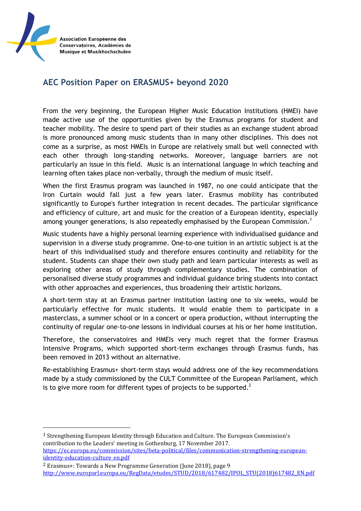

 $\overline{a}$ 

## **AEC Position Paper on ERASMUS+ beyond 2020**

From the very beginning, the European Higher Music Education Institutions (HMEI) have made active use of the opportunities given by the Erasmus programs for student and teacher mobility. The desire to spend part of their studies as an exchange student abroad is more pronounced among music students than in many other disciplines. This does not come as a surprise, as most HMEIs in Europe are relatively small but well connected with each other through long-standing networks. Moreover, language barriers are not particularly an issue in this field. Music is an international language in which teaching and learning often takes place non-verbally, through the medium of music itself.

When the first Erasmus program was launched in 1987, no one could anticipate that the Iron Curtain would fall just a few years later. Erasmus mobility has contributed significantly to Europe's further integration in recent decades. The particular significance and efficiency of culture, art and music for the creation of a European identity, especially among younger generations, is also repeatedly emphasised by the European Commission.<sup>1</sup>

Music students have a highly personal learning experience with individualised guidance and supervision in a diverse study programme. One-to-one tuition in an artistic subject is at the heart of this individualised study and therefore ensures continuity and reliability for the student. Students can shape their own study path and learn particular interests as well as exploring other areas of study through complementary studies. The combination of personalised diverse study programmes and individual guidance bring students into contact with other approaches and experiences, thus broadening their artistic horizons.

A short-term stay at an Erasmus partner institution lasting one to six weeks, would be particularly effective for music students. It would enable them to participate in a masterclass, a summer school or in a concert or opera production, without interrupting the continuity of regular one-to-one lessons in individual courses at his or her home institution.

Therefore, the conservatoires and HMEIs very much regret that the former Erasmus Intensive Programs, which supported short-term exchanges through Erasmus funds, has been removed in 2013 without an alternative.

Re-establishing Erasmus+ short-term stays would address one of the key recommendations made by a study commissioned by the CULT Committee of the European Parliament, which is to give more room for different types of projects to be supported.<sup>2</sup>

<sup>1</sup> Strengthening European Identity through Education and Culture. The European Commission's contribution to the Leaders' meeting in Gothenburg, 17 November 2017. [https://ec.europa.eu/commission/sites/beta-political/files/communication-strengthening-european](https://ec.europa.eu/commission/sites/beta-political/files/communication-strengthening-european-identity-education-culture_en.pdf)[identity-education-culture\\_en.pdf](https://ec.europa.eu/commission/sites/beta-political/files/communication-strengthening-european-identity-education-culture_en.pdf)

<sup>2</sup> Erasmus+: Towards a New Programme Generation (June 2018), page 9 [http://www.europarl.europa.eu/RegData/etudes/STUD/2018/617482/IPOL\\_STU\(2018\)617482\\_EN.pdf](http://www.europarl.europa.eu/RegData/etudes/STUD/2018/617482/IPOL_STU(2018)617482_EN.pdf)